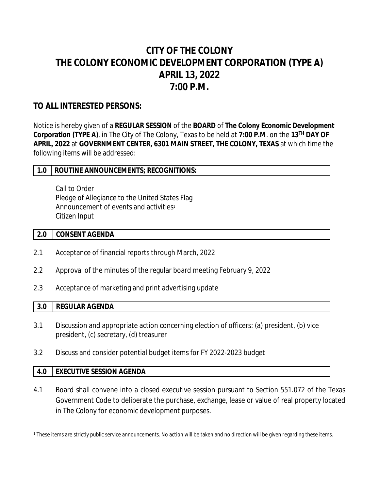# **CITY OF THE COLONY THE COLONY ECONOMIC DEVELOPMENT CORPORATION (TYPE A) APRIL 13, 2022 7:00 P.M.**

# **TO ALL INTERESTED PERSONS:**

Notice is hereby given of a **REGULAR SESSION** of the **BOARD** of **The Colony Economic Development Corporation (TYPE A)**, in The City of The Colony, Texas to be held at **7:00 P.M**. on the **13TH DAY OF APRIL, 2022** at **GOVERNMENT CENTER, 6301 MAIN STREET, THE COLONY, TEXAS** at which time the following items will be addressed:

#### **1.0 ROUTINE ANNOUNCEMENTS; RECOGNITIONS:**

Call to Order Pledge of Allegiance to the United States Flag Announcement of events and activities<sup>1</sup> Citizen Input

#### **2.0 CONSENT AGENDA**

- 2.1 Acceptance of financial reports through March, 2022
- 2.2 Approval of the minutes of the regular board meeting February 9, 2022
- 2.3 Acceptance of marketing and print advertising update

#### **3.0 REGULAR AGENDA**

- 3.1 Discussion and appropriate action concerning election of officers: (a) president, (b) vice president, (c) secretary, (d) treasurer
- 3.2 Discuss and consider potential budget items for FY 2022-2023 budget

#### **4.0 EXECUTIVE SESSION AGENDA**

4.1 Board shall convene into a closed executive session pursuant to Section 551.072 of the Texas Government Code to deliberate the purchase, exchange, lease or value of real property located in The Colony for economic development purposes.

<sup>1</sup> These items are strictly public service announcements. No action will be taken and no direction will be given regarding these items.